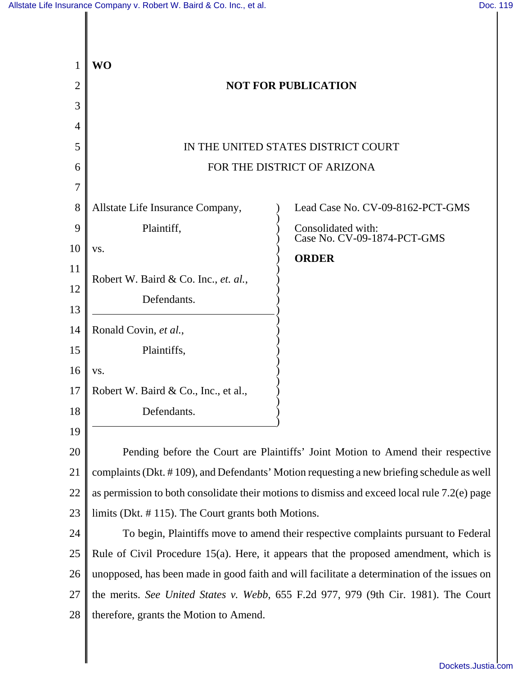